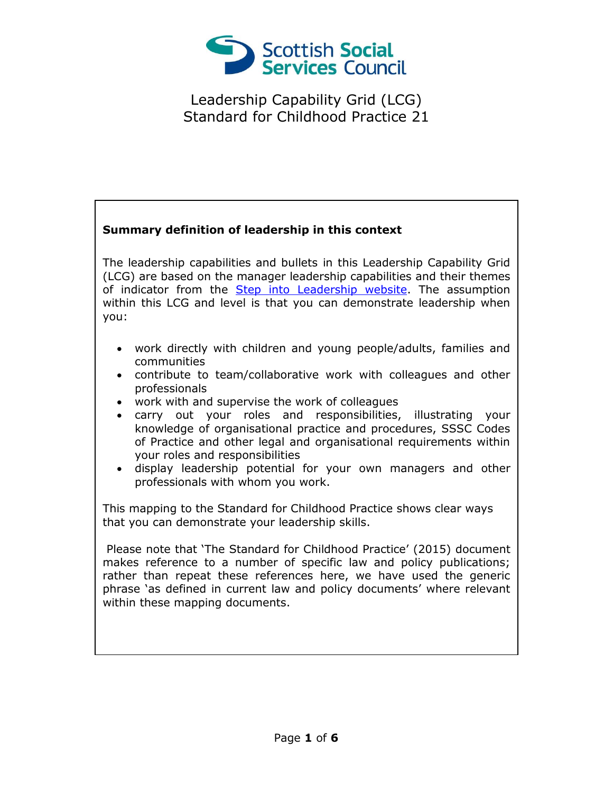

#### **Summary definition of leadership in this context**

The leadership capabilities and bullets in this Leadership Capability Grid (LCG) are based on the manager leadership capabilities and their themes of indicator from the [Step into Leadership website.](http://www.stepintoleadership.info/) The assumption within this LCG and level is that you can demonstrate leadership when you:

- work directly with children and young people/adults, families and communities
- contribute to team/collaborative work with colleagues and other professionals
- work with and supervise the work of colleagues
- carry out your roles and responsibilities, illustrating your knowledge of organisational practice and procedures, SSSC Codes of Practice and other legal and organisational requirements within your roles and responsibilities
- display leadership potential for your own managers and other professionals with whom you work.

This mapping to the Standard for Childhood Practice shows clear ways that you can demonstrate your leadership skills.

Please note that 'The Standard for Childhood Practice' (2015) document makes reference to a number of specific law and policy publications; rather than repeat these references here, we have used the generic phrase 'as defined in current law and policy documents' where relevant within these mapping documents.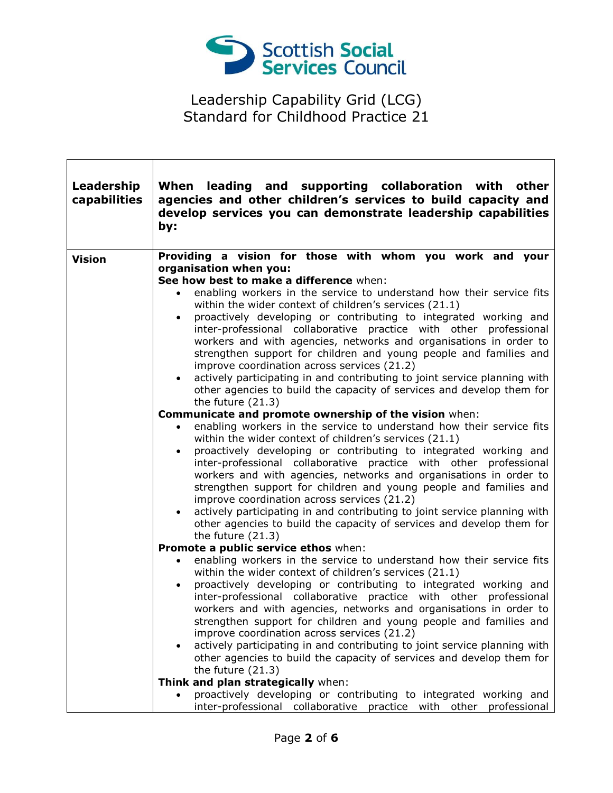

٦

| Leadership<br>capabilities | When leading and supporting collaboration with other<br>agencies and other children's services to build capacity and<br>develop services you can demonstrate leadership capabilities<br>by:                                                                                                                                                                                                                                                                                                                                                                                                                                                                                                                                                                                                                                                                                                                                                                                                                                                                                                                                                                                                                                                                                                                                                                                                                                                                                                                                                                                                                                                                                                                                                                                                                                                                                                                                                                                                                                                                                                                                                                                                                                                                                                                                                                                                                                                    |
|----------------------------|------------------------------------------------------------------------------------------------------------------------------------------------------------------------------------------------------------------------------------------------------------------------------------------------------------------------------------------------------------------------------------------------------------------------------------------------------------------------------------------------------------------------------------------------------------------------------------------------------------------------------------------------------------------------------------------------------------------------------------------------------------------------------------------------------------------------------------------------------------------------------------------------------------------------------------------------------------------------------------------------------------------------------------------------------------------------------------------------------------------------------------------------------------------------------------------------------------------------------------------------------------------------------------------------------------------------------------------------------------------------------------------------------------------------------------------------------------------------------------------------------------------------------------------------------------------------------------------------------------------------------------------------------------------------------------------------------------------------------------------------------------------------------------------------------------------------------------------------------------------------------------------------------------------------------------------------------------------------------------------------------------------------------------------------------------------------------------------------------------------------------------------------------------------------------------------------------------------------------------------------------------------------------------------------------------------------------------------------------------------------------------------------------------------------------------------------|
| <b>Vision</b>              | Providing a vision for those with whom you work and your<br>organisation when you:<br>See how best to make a difference when:<br>enabling workers in the service to understand how their service fits<br>$\bullet$<br>within the wider context of children's services (21.1)<br>proactively developing or contributing to integrated working and<br>$\bullet$<br>inter-professional collaborative practice with other professional<br>workers and with agencies, networks and organisations in order to<br>strengthen support for children and young people and families and<br>improve coordination across services (21.2)<br>actively participating in and contributing to joint service planning with<br>$\bullet$<br>other agencies to build the capacity of services and develop them for<br>the future $(21.3)$<br>Communicate and promote ownership of the vision when:<br>enabling workers in the service to understand how their service fits<br>$\bullet$<br>within the wider context of children's services (21.1)<br>proactively developing or contributing to integrated working and<br>$\bullet$<br>inter-professional collaborative practice with other professional<br>workers and with agencies, networks and organisations in order to<br>strengthen support for children and young people and families and<br>improve coordination across services (21.2)<br>actively participating in and contributing to joint service planning with<br>other agencies to build the capacity of services and develop them for<br>the future $(21.3)$<br>Promote a public service ethos when:<br>enabling workers in the service to understand how their service fits<br>within the wider context of children's services (21.1)<br>proactively developing or contributing to integrated working and<br>inter-professional collaborative practice with other professional<br>workers and with agencies, networks and organisations in order to<br>strengthen support for children and young people and families and<br>improve coordination across services (21.2)<br>actively participating in and contributing to joint service planning with<br>$\bullet$<br>other agencies to build the capacity of services and develop them for<br>the future $(21.3)$<br>Think and plan strategically when:<br>proactively developing or contributing to integrated working and<br>inter-professional collaborative practice with other professional |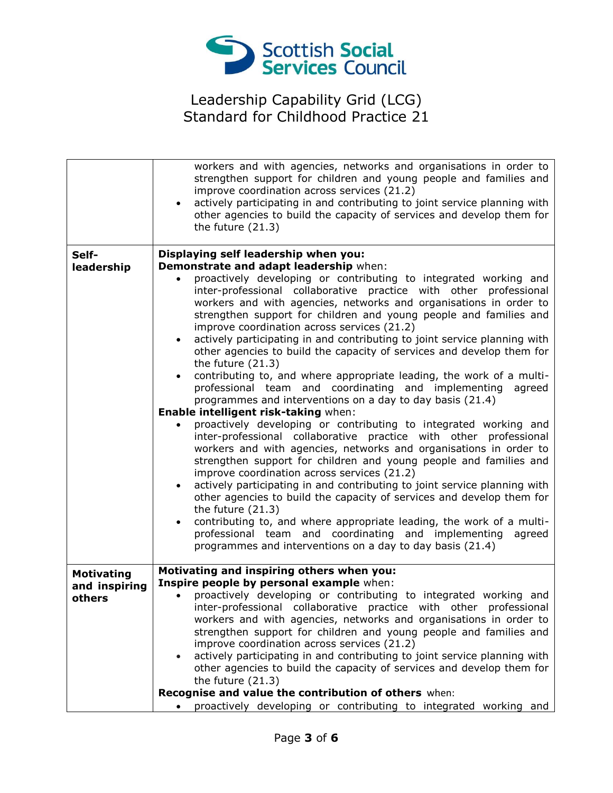

|                         | workers and with agencies, networks and organisations in order to<br>strengthen support for children and young people and families and<br>improve coordination across services (21.2)<br>actively participating in and contributing to joint service planning with<br>$\bullet$<br>other agencies to build the capacity of services and develop them for<br>the future $(21.3)$                                                                                                                                                                                                                                                                                                                                                                                                                                                                                                                                                                                                                                                                                                                                                                                                                                                                                                                                                                                                                                                                                                                                                 |
|-------------------------|---------------------------------------------------------------------------------------------------------------------------------------------------------------------------------------------------------------------------------------------------------------------------------------------------------------------------------------------------------------------------------------------------------------------------------------------------------------------------------------------------------------------------------------------------------------------------------------------------------------------------------------------------------------------------------------------------------------------------------------------------------------------------------------------------------------------------------------------------------------------------------------------------------------------------------------------------------------------------------------------------------------------------------------------------------------------------------------------------------------------------------------------------------------------------------------------------------------------------------------------------------------------------------------------------------------------------------------------------------------------------------------------------------------------------------------------------------------------------------------------------------------------------------|
| Self-                   | Displaying self leadership when you:                                                                                                                                                                                                                                                                                                                                                                                                                                                                                                                                                                                                                                                                                                                                                                                                                                                                                                                                                                                                                                                                                                                                                                                                                                                                                                                                                                                                                                                                                            |
| leadership              | Demonstrate and adapt leadership when:                                                                                                                                                                                                                                                                                                                                                                                                                                                                                                                                                                                                                                                                                                                                                                                                                                                                                                                                                                                                                                                                                                                                                                                                                                                                                                                                                                                                                                                                                          |
|                         | proactively developing or contributing to integrated working and<br>inter-professional collaborative practice with other professional<br>workers and with agencies, networks and organisations in order to<br>strengthen support for children and young people and families and<br>improve coordination across services (21.2)<br>actively participating in and contributing to joint service planning with<br>$\bullet$<br>other agencies to build the capacity of services and develop them for<br>the future $(21.3)$<br>contributing to, and where appropriate leading, the work of a multi-<br>$\bullet$<br>professional team and coordinating and implementing agreed<br>programmes and interventions on a day to day basis (21.4)<br>Enable intelligent risk-taking when:<br>proactively developing or contributing to integrated working and<br>inter-professional collaborative practice with other professional<br>workers and with agencies, networks and organisations in order to<br>strengthen support for children and young people and families and<br>improve coordination across services (21.2)<br>actively participating in and contributing to joint service planning with<br>$\bullet$<br>other agencies to build the capacity of services and develop them for<br>the future $(21.3)$<br>contributing to, and where appropriate leading, the work of a multi-<br>$\bullet$<br>professional team and coordinating and implementing<br>agreed<br>programmes and interventions on a day to day basis (21.4) |
|                         |                                                                                                                                                                                                                                                                                                                                                                                                                                                                                                                                                                                                                                                                                                                                                                                                                                                                                                                                                                                                                                                                                                                                                                                                                                                                                                                                                                                                                                                                                                                                 |
| <b>Motivating</b>       | Motivating and inspiring others when you:<br>Inspire people by personal example when:                                                                                                                                                                                                                                                                                                                                                                                                                                                                                                                                                                                                                                                                                                                                                                                                                                                                                                                                                                                                                                                                                                                                                                                                                                                                                                                                                                                                                                           |
| and inspiring<br>others | proactively developing or contributing to integrated working and<br>$\bullet$                                                                                                                                                                                                                                                                                                                                                                                                                                                                                                                                                                                                                                                                                                                                                                                                                                                                                                                                                                                                                                                                                                                                                                                                                                                                                                                                                                                                                                                   |
|                         | inter-professional collaborative practice with other professional                                                                                                                                                                                                                                                                                                                                                                                                                                                                                                                                                                                                                                                                                                                                                                                                                                                                                                                                                                                                                                                                                                                                                                                                                                                                                                                                                                                                                                                               |
|                         | workers and with agencies, networks and organisations in order to                                                                                                                                                                                                                                                                                                                                                                                                                                                                                                                                                                                                                                                                                                                                                                                                                                                                                                                                                                                                                                                                                                                                                                                                                                                                                                                                                                                                                                                               |
|                         | strengthen support for children and young people and families and<br>improve coordination across services (21.2)                                                                                                                                                                                                                                                                                                                                                                                                                                                                                                                                                                                                                                                                                                                                                                                                                                                                                                                                                                                                                                                                                                                                                                                                                                                                                                                                                                                                                |
|                         | actively participating in and contributing to joint service planning with                                                                                                                                                                                                                                                                                                                                                                                                                                                                                                                                                                                                                                                                                                                                                                                                                                                                                                                                                                                                                                                                                                                                                                                                                                                                                                                                                                                                                                                       |
|                         | other agencies to build the capacity of services and develop them for                                                                                                                                                                                                                                                                                                                                                                                                                                                                                                                                                                                                                                                                                                                                                                                                                                                                                                                                                                                                                                                                                                                                                                                                                                                                                                                                                                                                                                                           |
|                         | the future $(21.3)$<br>Recognise and value the contribution of others when:                                                                                                                                                                                                                                                                                                                                                                                                                                                                                                                                                                                                                                                                                                                                                                                                                                                                                                                                                                                                                                                                                                                                                                                                                                                                                                                                                                                                                                                     |
|                         | proactively developing or contributing to integrated working and                                                                                                                                                                                                                                                                                                                                                                                                                                                                                                                                                                                                                                                                                                                                                                                                                                                                                                                                                                                                                                                                                                                                                                                                                                                                                                                                                                                                                                                                |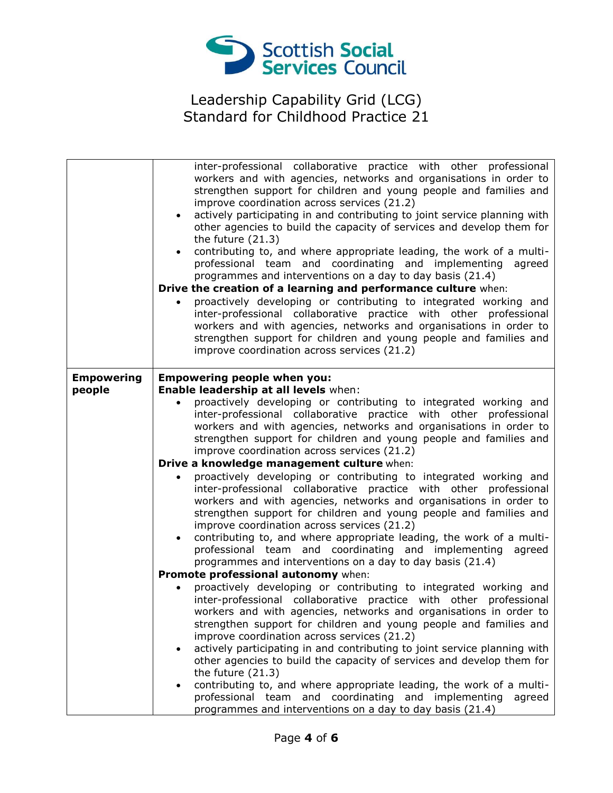

|                             | inter-professional collaborative practice with other professional<br>workers and with agencies, networks and organisations in order to<br>strengthen support for children and young people and families and<br>improve coordination across services (21.2)<br>actively participating in and contributing to joint service planning with<br>other agencies to build the capacity of services and develop them for<br>the future $(21.3)$<br>contributing to, and where appropriate leading, the work of a multi-<br>professional team and coordinating and implementing agreed<br>programmes and interventions on a day to day basis (21.4)<br>Drive the creation of a learning and performance culture when:<br>proactively developing or contributing to integrated working and<br>inter-professional collaborative practice with other professional<br>workers and with agencies, networks and organisations in order to<br>strengthen support for children and young people and families and<br>improve coordination across services (21.2) |
|-----------------------------|------------------------------------------------------------------------------------------------------------------------------------------------------------------------------------------------------------------------------------------------------------------------------------------------------------------------------------------------------------------------------------------------------------------------------------------------------------------------------------------------------------------------------------------------------------------------------------------------------------------------------------------------------------------------------------------------------------------------------------------------------------------------------------------------------------------------------------------------------------------------------------------------------------------------------------------------------------------------------------------------------------------------------------------------|
| <b>Empowering</b><br>people | <b>Empowering people when you:</b><br>Enable leadership at all levels when:<br>proactively developing or contributing to integrated working and<br>inter-professional collaborative practice with other professional<br>workers and with agencies, networks and organisations in order to<br>strengthen support for children and young people and families and<br>improve coordination across services (21.2)<br>Drive a knowledge management culture when:<br>proactively developing or contributing to integrated working and<br>inter-professional collaborative practice with other professional<br>workers and with agencies, networks and organisations in order to<br>strengthen support for children and young people and families and<br>improve coordination across services (21.2)<br>contributing to, and where appropriate leading, the work of a multi-<br>professional team and coordinating and implementing agreed<br>programmes and interventions on a day to day basis (21.4)                                               |
|                             | Promote professional autonomy when:                                                                                                                                                                                                                                                                                                                                                                                                                                                                                                                                                                                                                                                                                                                                                                                                                                                                                                                                                                                                            |
|                             | proactively developing or contributing to integrated working and<br>inter-professional collaborative practice with other professional<br>workers and with agencies, networks and organisations in order to<br>strengthen support for children and young people and families and<br>improve coordination across services (21.2)<br>actively participating in and contributing to joint service planning with<br>$\bullet$<br>other agencies to build the capacity of services and develop them for<br>the future $(21.3)$<br>contributing to, and where appropriate leading, the work of a multi-<br>professional team and coordinating and implementing<br>agreed<br>programmes and interventions on a day to day basis (21.4)                                                                                                                                                                                                                                                                                                                 |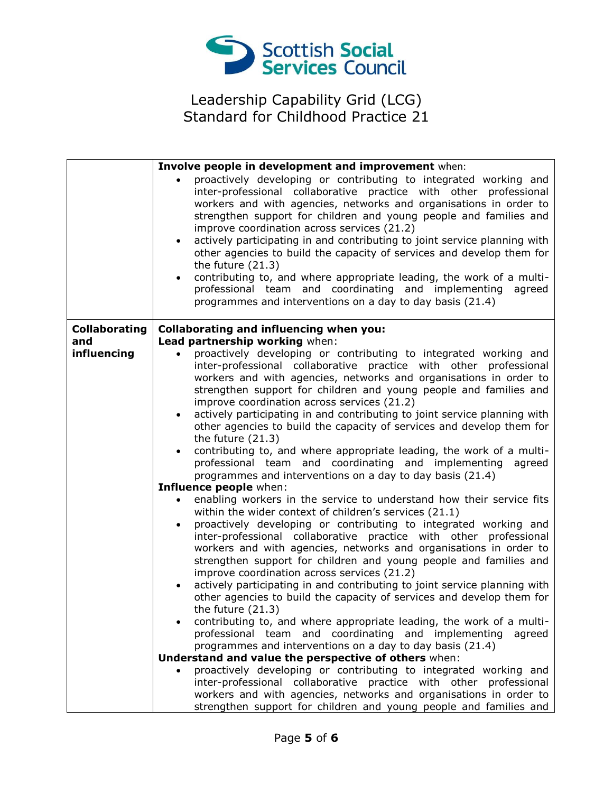

|                      | Involve people in development and improvement when:                                                                                                                                                                                                                                                                                                                                                                                                                                                                                                                                                                                                                                                                         |
|----------------------|-----------------------------------------------------------------------------------------------------------------------------------------------------------------------------------------------------------------------------------------------------------------------------------------------------------------------------------------------------------------------------------------------------------------------------------------------------------------------------------------------------------------------------------------------------------------------------------------------------------------------------------------------------------------------------------------------------------------------------|
|                      | proactively developing or contributing to integrated working and<br>inter-professional collaborative practice with other professional<br>workers and with agencies, networks and organisations in order to<br>strengthen support for children and young people and families and<br>improve coordination across services (21.2)<br>actively participating in and contributing to joint service planning with<br>other agencies to build the capacity of services and develop them for<br>the future $(21.3)$<br>contributing to, and where appropriate leading, the work of a multi-<br>$\bullet$<br>professional team and coordinating and implementing agreed<br>programmes and interventions on a day to day basis (21.4) |
| <b>Collaborating</b> | Collaborating and influencing when you:                                                                                                                                                                                                                                                                                                                                                                                                                                                                                                                                                                                                                                                                                     |
| and                  | Lead partnership working when:                                                                                                                                                                                                                                                                                                                                                                                                                                                                                                                                                                                                                                                                                              |
| influencing          | proactively developing or contributing to integrated working and<br>$\bullet$<br>inter-professional collaborative practice with other professional<br>workers and with agencies, networks and organisations in order to<br>strengthen support for children and young people and families and<br>improve coordination across services (21.2)<br>actively participating in and contributing to joint service planning with<br>$\bullet$<br>other agencies to build the capacity of services and develop them for<br>the future $(21.3)$                                                                                                                                                                                       |
|                      | contributing to, and where appropriate leading, the work of a multi-<br>professional team and coordinating and implementing agreed<br>programmes and interventions on a day to day basis (21.4)<br>Influence people when:                                                                                                                                                                                                                                                                                                                                                                                                                                                                                                   |
|                      | enabling workers in the service to understand how their service fits                                                                                                                                                                                                                                                                                                                                                                                                                                                                                                                                                                                                                                                        |
|                      | within the wider context of children's services (21.1)                                                                                                                                                                                                                                                                                                                                                                                                                                                                                                                                                                                                                                                                      |
|                      | proactively developing or contributing to integrated working and<br>$\bullet$<br>inter-professional collaborative practice with other professional<br>workers and with agencies, networks and organisations in order to<br>strengthen support for children and young people and families and<br>improve coordination across services (21.2)<br>actively participating in and contributing to joint service planning with<br>$\bullet$<br>other agencies to build the capacity of services and develop them for<br>the future $(21.3)$                                                                                                                                                                                       |
|                      | contributing to, and where appropriate leading, the work of a multi-<br>professional team and coordinating and implementing agreed<br>programmes and interventions on a day to day basis (21.4)<br>Understand and value the perspective of others when:                                                                                                                                                                                                                                                                                                                                                                                                                                                                     |
|                      | proactively developing or contributing to integrated working and                                                                                                                                                                                                                                                                                                                                                                                                                                                                                                                                                                                                                                                            |
|                      | inter-professional collaborative practice with other professional<br>workers and with agencies, networks and organisations in order to<br>strengthen support for children and young people and families and                                                                                                                                                                                                                                                                                                                                                                                                                                                                                                                 |